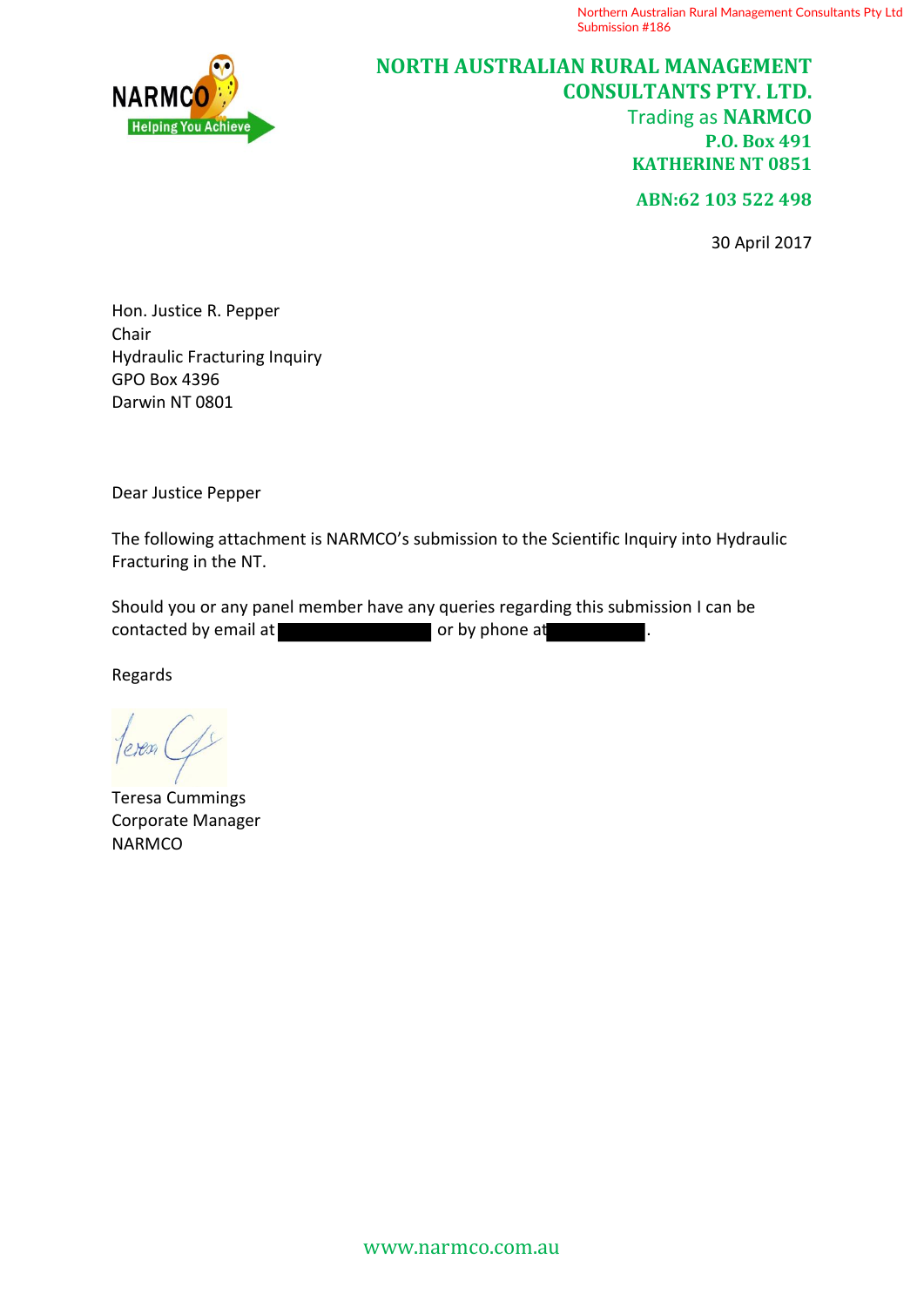

# **NORTH AUSTRALIAN RURAL MANAGEMENT CONSULTANTS PTY. LTD.** Trading as **NARMCO P.O. Box 491 KATHERINE NT 0851**

**ABN:62 103 522 498**

30 April 2017

Hon. Justice R. Pepper Chair Hydraulic Fracturing Inquiry GPO Box 4396 Darwin NT 0801

Dear Justice Pepper

The following attachment is NARMCO's submission to the Scientific Inquiry into Hydraulic Fracturing in the NT.

Should you or any panel member have any queries regarding this submission I can be contacted by email at **or or** by phone at **or** by phone at

Regards

Teresa Cummings Corporate Manager **NARMCO**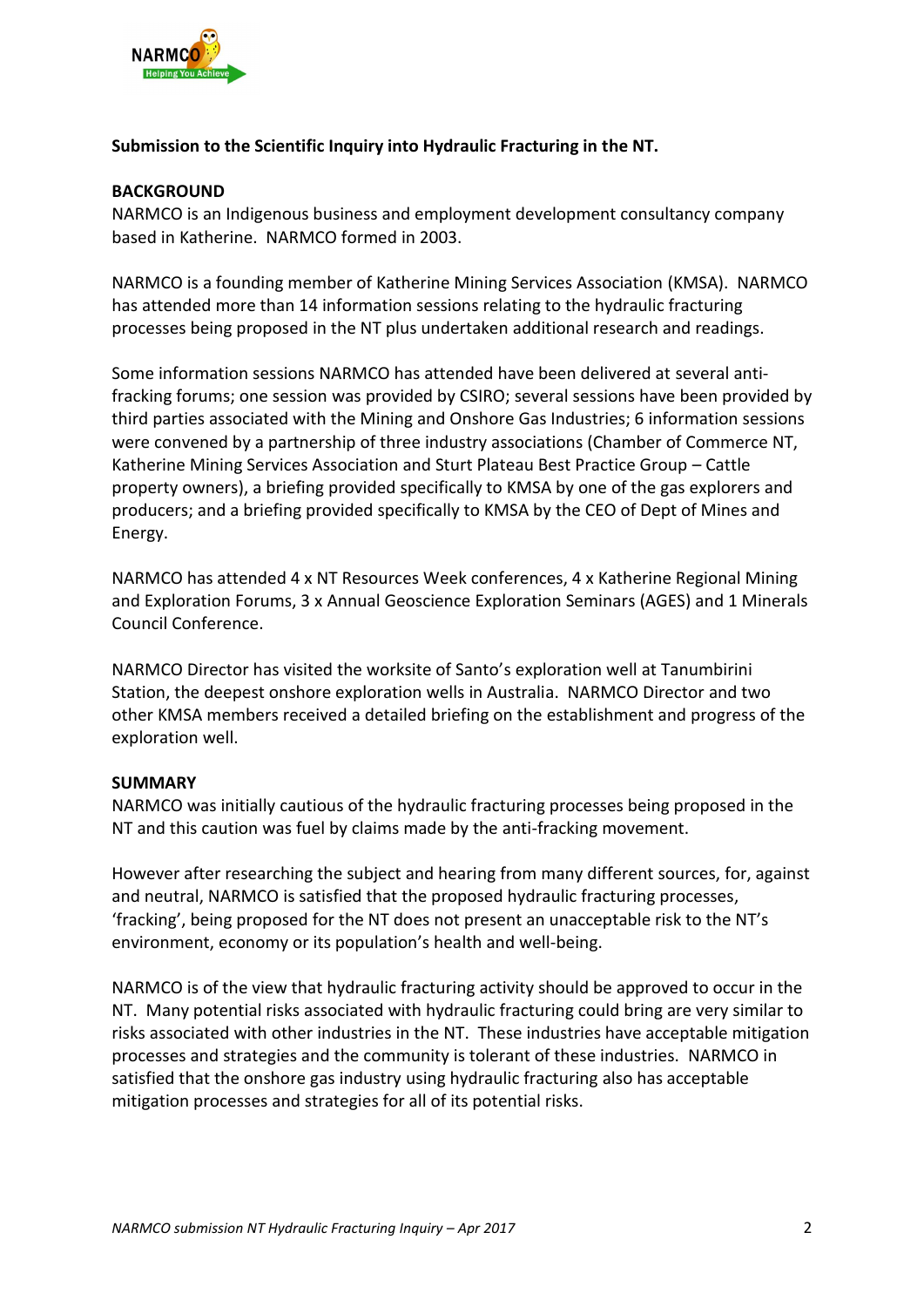

### **Submission to the Scientific Inquiry into Hydraulic Fracturing in the NT.**

#### **BACKGROUND**

NARMCO is an Indigenous business and employment development consultancy company based in Katherine. NARMCO formed in 2003.

NARMCO is a founding member of Katherine Mining Services Association (KMSA). NARMCO has attended more than 14 information sessions relating to the hydraulic fracturing processes being proposed in the NT plus undertaken additional research and readings.

Some information sessions NARMCO has attended have been delivered at several antifracking forums; one session was provided by CSIRO; several sessions have been provided by third parties associated with the Mining and Onshore Gas Industries; 6 information sessions were convened by a partnership of three industry associations (Chamber of Commerce NT, Katherine Mining Services Association and Sturt Plateau Best Practice Group – Cattle property owners), a briefing provided specifically to KMSA by one of the gas explorers and producers; and a briefing provided specifically to KMSA by the CEO of Dept of Mines and Energy.

NARMCO has attended 4 x NT Resources Week conferences, 4 x Katherine Regional Mining and Exploration Forums, 3 x Annual Geoscience Exploration Seminars (AGES) and 1 Minerals Council Conference.

NARMCO Director has visited the worksite of Santo's exploration well at Tanumbirini Station, the deepest onshore exploration wells in Australia. NARMCO Director and two other KMSA members received a detailed briefing on the establishment and progress of the exploration well.

#### **SUMMARY**

NARMCO was initially cautious of the hydraulic fracturing processes being proposed in the NT and this caution was fuel by claims made by the anti-fracking movement.

However after researching the subject and hearing from many different sources, for, against and neutral, NARMCO is satisfied that the proposed hydraulic fracturing processes, 'fracking', being proposed for the NT does not present an unacceptable risk to the NT's environment, economy or its population's health and well-being.

NARMCO is of the view that hydraulic fracturing activity should be approved to occur in the NT. Many potential risks associated with hydraulic fracturing could bring are very similar to risks associated with other industries in the NT. These industries have acceptable mitigation processes and strategies and the community is tolerant of these industries. NARMCO in satisfied that the onshore gas industry using hydraulic fracturing also has acceptable mitigation processes and strategies for all of its potential risks.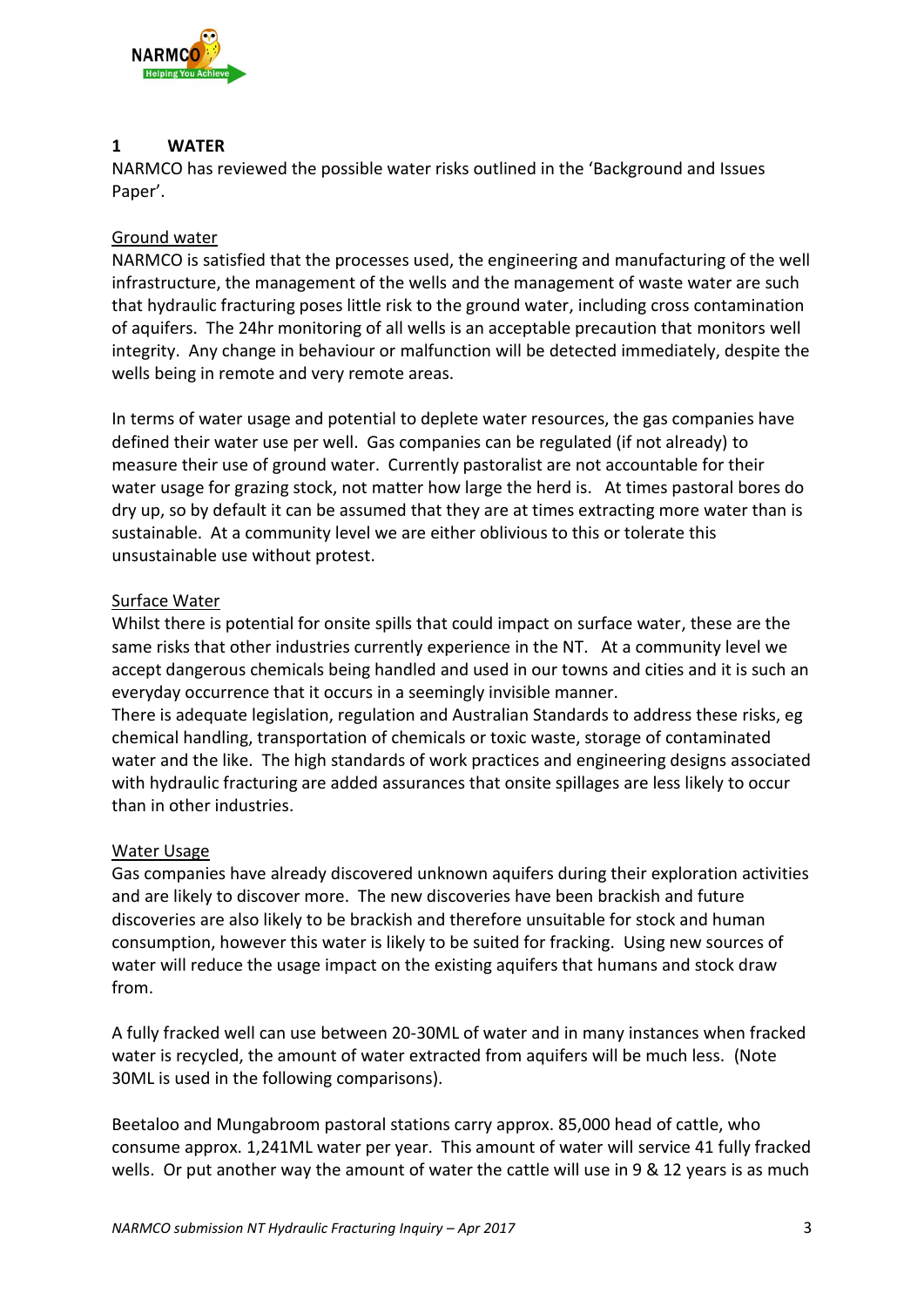

### **1 WATER**

NARMCO has reviewed the possible water risks outlined in the 'Background and Issues Paper'.

# Ground water

NARMCO is satisfied that the processes used, the engineering and manufacturing of the well infrastructure, the management of the wells and the management of waste water are such that hydraulic fracturing poses little risk to the ground water, including cross contamination of aquifers. The 24hr monitoring of all wells is an acceptable precaution that monitors well integrity. Any change in behaviour or malfunction will be detected immediately, despite the wells being in remote and very remote areas.

In terms of water usage and potential to deplete water resources, the gas companies have defined their water use per well. Gas companies can be regulated (if not already) to measure their use of ground water. Currently pastoralist are not accountable for their water usage for grazing stock, not matter how large the herd is. At times pastoral bores do dry up, so by default it can be assumed that they are at times extracting more water than is sustainable. At a community level we are either oblivious to this or tolerate this unsustainable use without protest.

# Surface Water

Whilst there is potential for onsite spills that could impact on surface water, these are the same risks that other industries currently experience in the NT. At a community level we accept dangerous chemicals being handled and used in our towns and cities and it is such an everyday occurrence that it occurs in a seemingly invisible manner.

There is adequate legislation, regulation and Australian Standards to address these risks, eg chemical handling, transportation of chemicals or toxic waste, storage of contaminated water and the like. The high standards of work practices and engineering designs associated with hydraulic fracturing are added assurances that onsite spillages are less likely to occur than in other industries.

# Water Usage

Gas companies have already discovered unknown aquifers during their exploration activities and are likely to discover more. The new discoveries have been brackish and future discoveries are also likely to be brackish and therefore unsuitable for stock and human consumption, however this water is likely to be suited for fracking. Using new sources of water will reduce the usage impact on the existing aquifers that humans and stock draw from.

A fully fracked well can use between 20-30ML of water and in many instances when fracked water is recycled, the amount of water extracted from aquifers will be much less. (Note 30ML is used in the following comparisons).

Beetaloo and Mungabroom pastoral stations carry approx. 85,000 head of cattle, who consume approx. 1,241ML water per year. This amount of water will service 41 fully fracked wells. Or put another way the amount of water the cattle will use in 9 & 12 years is as much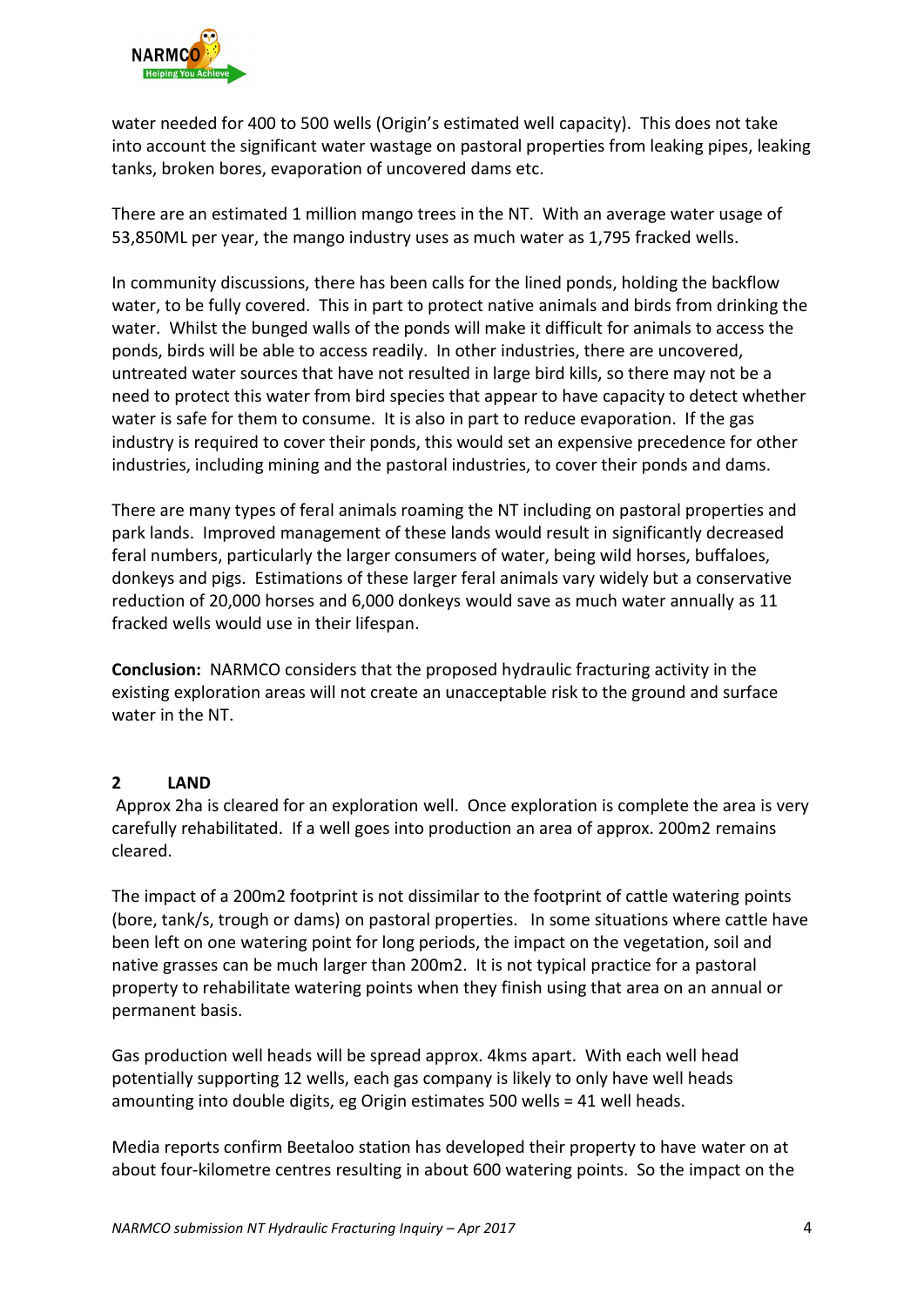

water needed for 400 to 500 wells (Origin's estimated well capacity). This does not take into account the significant water wastage on pastoral properties from leaking pipes, leaking tanks, broken bores, evaporation of uncovered dams etc.

There are an estimated 1 million mango trees in the NT. With an average water usage of 53,850ML per year, the mango industry uses as much water as 1,795 fracked wells.

In community discussions, there has been calls for the lined ponds, holding the backflow water, to be fully covered. This in part to protect native animals and birds from drinking the water. Whilst the bunged walls of the ponds will make it difficult for animals to access the ponds, birds will be able to access readily. In other industries, there are uncovered, untreated water sources that have not resulted in large bird kills, so there may not be a need to protect this water from bird species that appear to have capacity to detect whether water is safe for them to consume. It is also in part to reduce evaporation. If the gas industry is required to cover their ponds, this would set an expensive precedence for other industries, including mining and the pastoral industries, to cover their ponds and dams.

There are many types of feral animals roaming the NT including on pastoral properties and park lands. Improved management of these lands would result in significantly decreased feral numbers, particularly the larger consumers of water, being wild horses, buffaloes, donkeys and pigs. Estimations of these larger feral animals vary widely but a conservative reduction of 20,000 horses and 6,000 donkeys would save as much water annually as 11 fracked wells would use in their lifespan.

**Conclusion:** NARMCO considers that the proposed hydraulic fracturing activity in the existing exploration areas will not create an unacceptable risk to the ground and surface water in the NT.

# **2 LAND**

Approx 2ha is cleared for an exploration well. Once exploration is complete the area is very carefully rehabilitated. If a well goes into production an area of approx. 200m2 remains cleared.

The impact of a 200m2 footprint is not dissimilar to the footprint of cattle watering points (bore, tank/s, trough or dams) on pastoral properties. In some situations where cattle have been left on one watering point for long periods, the impact on the vegetation, soil and native grasses can be much larger than 200m2. It is not typical practice for a pastoral property to rehabilitate watering points when they finish using that area on an annual or permanent basis.

Gas production well heads will be spread approx. 4kms apart. With each well head potentially supporting 12 wells, each gas company is likely to only have well heads amounting into double digits, eg Origin estimates 500 wells = 41 well heads.

Media reports confirm Beetaloo station has developed their property to have water on at about four-kilometre centres resulting in about 600 watering points. So the impact on the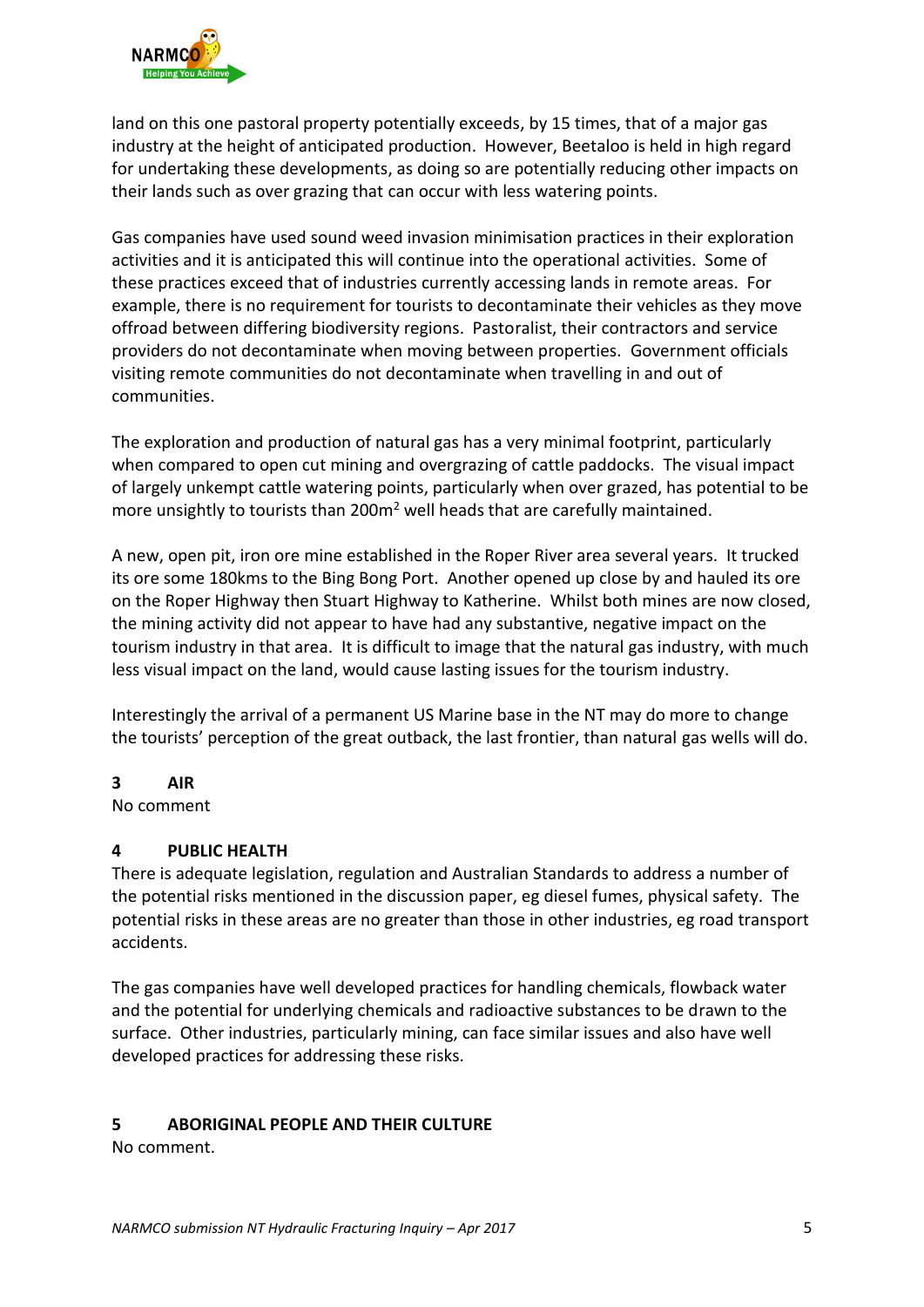

land on this one pastoral property potentially exceeds, by 15 times, that of a major gas industry at the height of anticipated production. However, Beetaloo is held in high regard for undertaking these developments, as doing so are potentially reducing other impacts on their lands such as over grazing that can occur with less watering points.

Gas companies have used sound weed invasion minimisation practices in their exploration activities and it is anticipated this will continue into the operational activities. Some of these practices exceed that of industries currently accessing lands in remote areas. For example, there is no requirement for tourists to decontaminate their vehicles as they move offroad between differing biodiversity regions. Pastoralist, their contractors and service providers do not decontaminate when moving between properties. Government officials visiting remote communities do not decontaminate when travelling in and out of communities.

The exploration and production of natural gas has a very minimal footprint, particularly when compared to open cut mining and overgrazing of cattle paddocks. The visual impact of largely unkempt cattle watering points, particularly when over grazed, has potential to be more unsightly to tourists than  $200m^2$  well heads that are carefully maintained.

A new, open pit, iron ore mine established in the Roper River area several years. It trucked its ore some 180kms to the Bing Bong Port. Another opened up close by and hauled its ore on the Roper Highway then Stuart Highway to Katherine. Whilst both mines are now closed, the mining activity did not appear to have had any substantive, negative impact on the tourism industry in that area. It is difficult to image that the natural gas industry, with much less visual impact on the land, would cause lasting issues for the tourism industry.

Interestingly the arrival of a permanent US Marine base in the NT may do more to change the tourists' perception of the great outback, the last frontier, than natural gas wells will do.

# **3 AIR**

No comment

# **4 PUBLIC HEALTH**

There is adequate legislation, regulation and Australian Standards to address a number of the potential risks mentioned in the discussion paper, eg diesel fumes, physical safety. The potential risks in these areas are no greater than those in other industries, eg road transport accidents.

The gas companies have well developed practices for handling chemicals, flowback water and the potential for underlying chemicals and radioactive substances to be drawn to the surface. Other industries, particularly mining, can face similar issues and also have well developed practices for addressing these risks.

# **5 ABORIGINAL PEOPLE AND THEIR CULTURE**

No comment.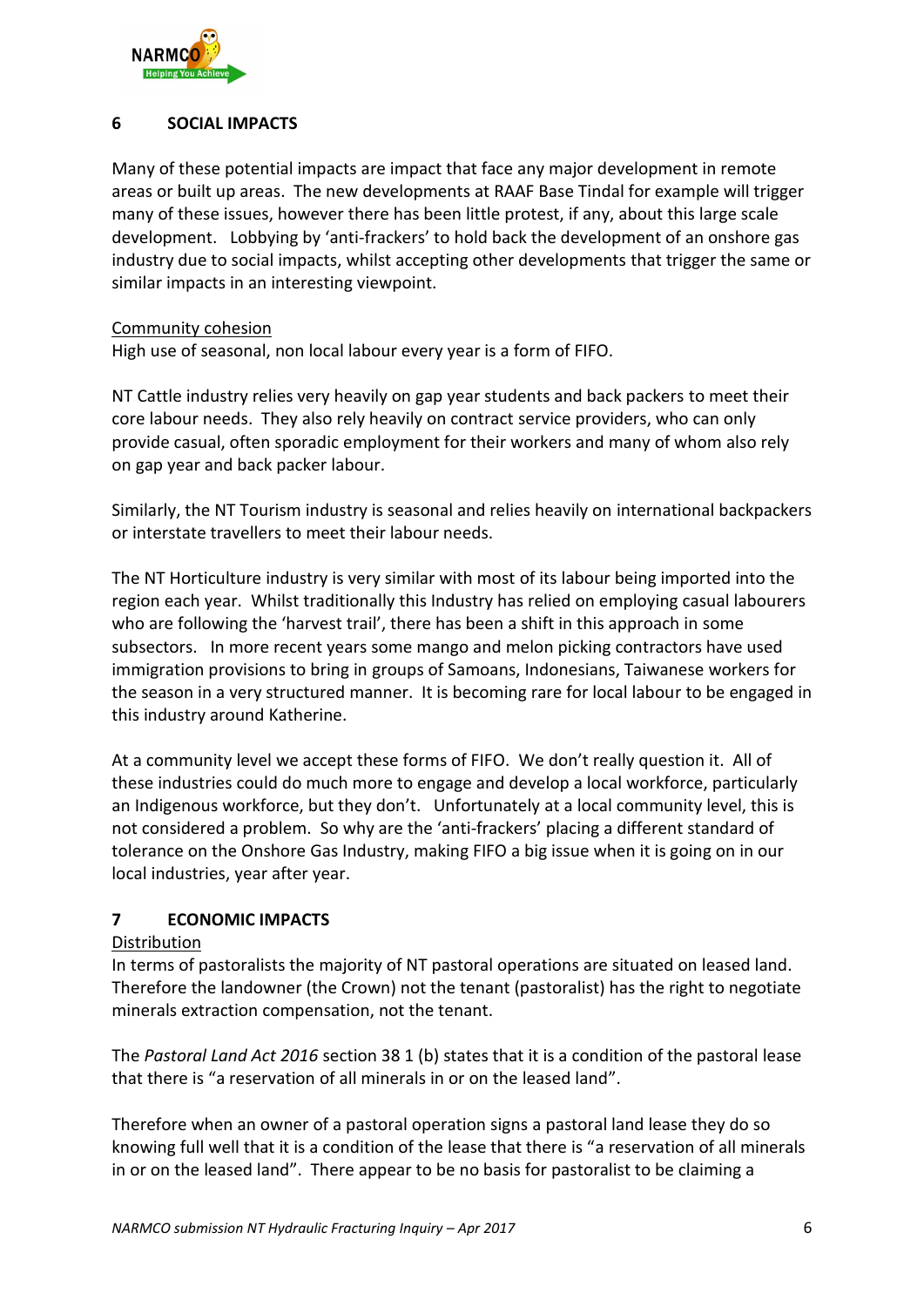

# **6 SOCIAL IMPACTS**

Many of these potential impacts are impact that face any major development in remote areas or built up areas. The new developments at RAAF Base Tindal for example will trigger many of these issues, however there has been little protest, if any, about this large scale development. Lobbying by 'anti-frackers' to hold back the development of an onshore gas industry due to social impacts, whilst accepting other developments that trigger the same or similar impacts in an interesting viewpoint.

#### Community cohesion

High use of seasonal, non local labour every year is a form of FIFO.

NT Cattle industry relies very heavily on gap year students and back packers to meet their core labour needs. They also rely heavily on contract service providers, who can only provide casual, often sporadic employment for their workers and many of whom also rely on gap year and back packer labour.

Similarly, the NT Tourism industry is seasonal and relies heavily on international backpackers or interstate travellers to meet their labour needs.

The NT Horticulture industry is very similar with most of its labour being imported into the region each year. Whilst traditionally this Industry has relied on employing casual labourers who are following the 'harvest trail', there has been a shift in this approach in some subsectors. In more recent years some mango and melon picking contractors have used immigration provisions to bring in groups of Samoans, Indonesians, Taiwanese workers for the season in a very structured manner. It is becoming rare for local labour to be engaged in this industry around Katherine.

At a community level we accept these forms of FIFO. We don't really question it. All of these industries could do much more to engage and develop a local workforce, particularly an Indigenous workforce, but they don't. Unfortunately at a local community level, this is not considered a problem. So why are the 'anti-frackers' placing a different standard of tolerance on the Onshore Gas Industry, making FIFO a big issue when it is going on in our local industries, year after year.

# **7 ECONOMIC IMPACTS**

#### Distribution

In terms of pastoralists the majority of NT pastoral operations are situated on leased land. Therefore the landowner (the Crown) not the tenant (pastoralist) has the right to negotiate minerals extraction compensation, not the tenant.

The *Pastoral Land Act 2016* section 38 1 (b) states that it is a condition of the pastoral lease that there is "a reservation of all minerals in or on the leased land".

Therefore when an owner of a pastoral operation signs a pastoral land lease they do so knowing full well that it is a condition of the lease that there is "a reservation of all minerals in or on the leased land". There appear to be no basis for pastoralist to be claiming a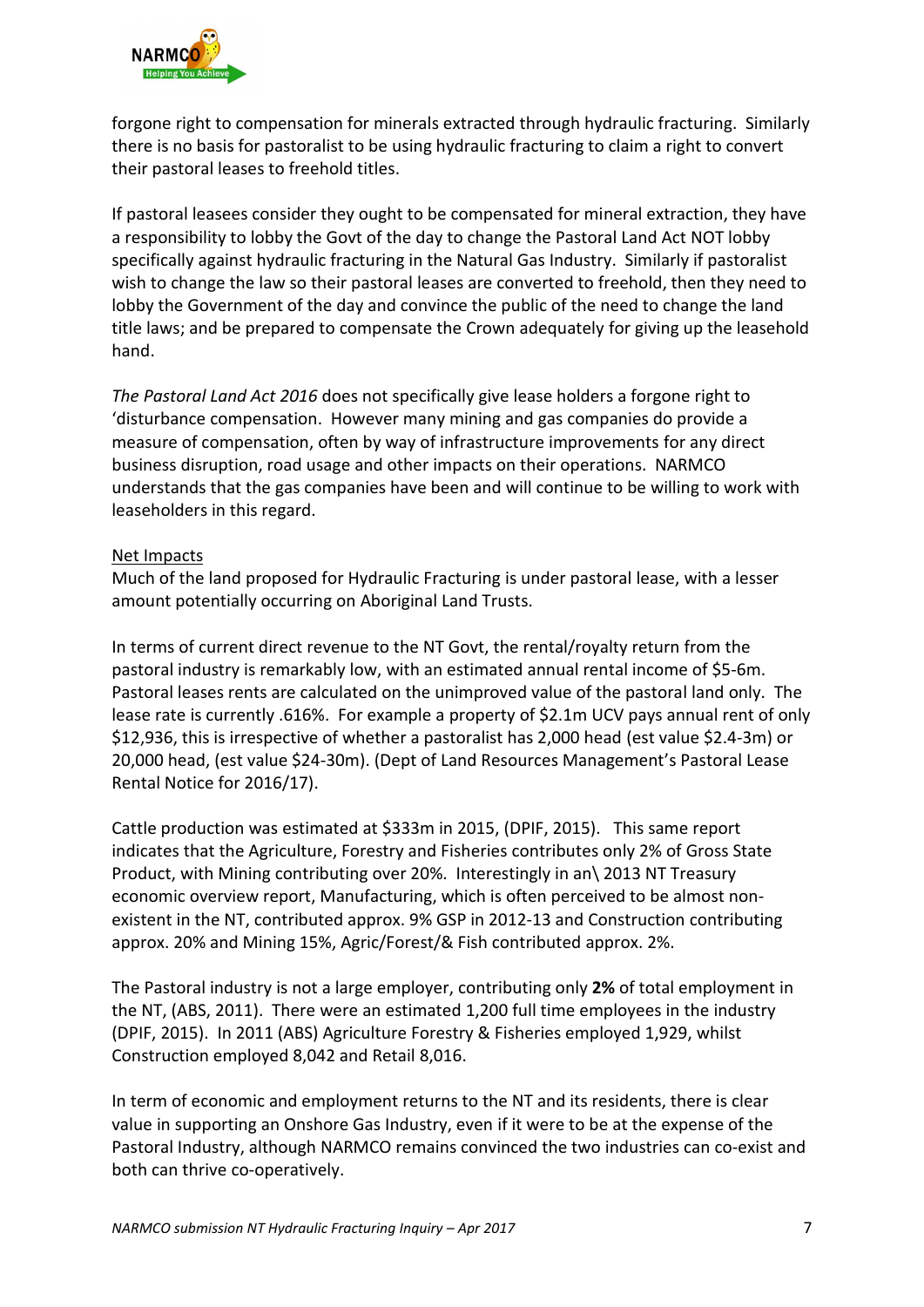

forgone right to compensation for minerals extracted through hydraulic fracturing. Similarly there is no basis for pastoralist to be using hydraulic fracturing to claim a right to convert their pastoral leases to freehold titles.

If pastoral leasees consider they ought to be compensated for mineral extraction, they have a responsibility to lobby the Govt of the day to change the Pastoral Land Act NOT lobby specifically against hydraulic fracturing in the Natural Gas Industry. Similarly if pastoralist wish to change the law so their pastoral leases are converted to freehold, then they need to lobby the Government of the day and convince the public of the need to change the land title laws; and be prepared to compensate the Crown adequately for giving up the leasehold hand.

*The Pastoral Land Act 2016* does not specifically give lease holders a forgone right to 'disturbance compensation. However many mining and gas companies do provide a measure of compensation, often by way of infrastructure improvements for any direct business disruption, road usage and other impacts on their operations. NARMCO understands that the gas companies have been and will continue to be willing to work with leaseholders in this regard.

#### Net Impacts

Much of the land proposed for Hydraulic Fracturing is under pastoral lease, with a lesser amount potentially occurring on Aboriginal Land Trusts.

In terms of current direct revenue to the NT Govt, the rental/royalty return from the pastoral industry is remarkably low, with an estimated annual rental income of \$5-6m. Pastoral leases rents are calculated on the unimproved value of the pastoral land only. The lease rate is currently .616%. For example a property of \$2.1m UCV pays annual rent of only \$12,936, this is irrespective of whether a pastoralist has 2,000 head (est value \$2.4-3m) or 20,000 head, (est value \$24-30m). (Dept of Land Resources Management's Pastoral Lease Rental Notice for 2016/17).

Cattle production was estimated at \$333m in 2015, (DPIF, 2015). This same report indicates that the Agriculture, Forestry and Fisheries contributes only 2% of Gross State Product, with Mining contributing over 20%. Interestingly in an\ 2013 NT Treasury economic overview report, Manufacturing, which is often perceived to be almost nonexistent in the NT, contributed approx. 9% GSP in 2012-13 and Construction contributing approx. 20% and Mining 15%, Agric/Forest/& Fish contributed approx. 2%.

The Pastoral industry is not a large employer, contributing only **2%** of total employment in the NT, (ABS, 2011). There were an estimated 1,200 full time employees in the industry (DPIF, 2015). In 2011 (ABS) Agriculture Forestry & Fisheries employed 1,929, whilst Construction employed 8,042 and Retail 8,016.

In term of economic and employment returns to the NT and its residents, there is clear value in supporting an Onshore Gas Industry, even if it were to be at the expense of the Pastoral Industry, although NARMCO remains convinced the two industries can co-exist and both can thrive co-operatively.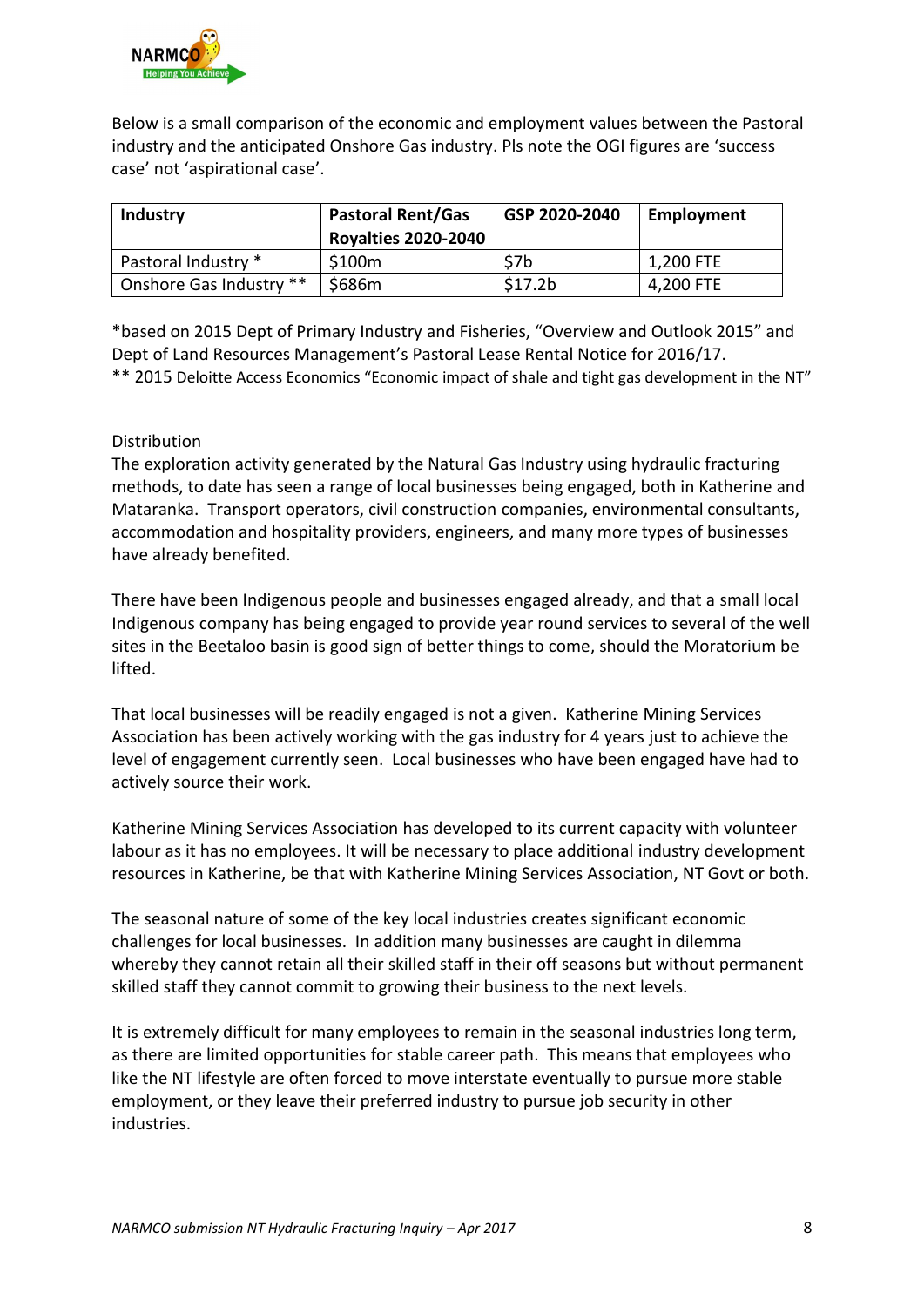

Below is a small comparison of the economic and employment values between the Pastoral industry and the anticipated Onshore Gas industry. Pls note the OGI figures are 'success case' not 'aspirational case'.

| <b>Industry</b>         | <b>Pastoral Rent/Gas</b><br><b>Royalties 2020-2040</b> | GSP 2020-2040 | Employment |
|-------------------------|--------------------------------------------------------|---------------|------------|
| Pastoral Industry *     | \$100m                                                 | \$7b          | 1,200 FTE  |
| Onshore Gas Industry ** | \$686m                                                 | \$17.2b       | 4,200 FTE  |

\*based on 2015 Dept of Primary Industry and Fisheries, "Overview and Outlook 2015" and Dept of Land Resources Management's Pastoral Lease Rental Notice for 2016/17. \*\* 2015 Deloitte Access Economics "Economic impact of shale and tight gas development in the NT"

#### Distribution

The exploration activity generated by the Natural Gas Industry using hydraulic fracturing methods, to date has seen a range of local businesses being engaged, both in Katherine and Mataranka. Transport operators, civil construction companies, environmental consultants, accommodation and hospitality providers, engineers, and many more types of businesses have already benefited.

There have been Indigenous people and businesses engaged already, and that a small local Indigenous company has being engaged to provide year round services to several of the well sites in the Beetaloo basin is good sign of better things to come, should the Moratorium be lifted.

That local businesses will be readily engaged is not a given. Katherine Mining Services Association has been actively working with the gas industry for 4 years just to achieve the level of engagement currently seen. Local businesses who have been engaged have had to actively source their work.

Katherine Mining Services Association has developed to its current capacity with volunteer labour as it has no employees. It will be necessary to place additional industry development resources in Katherine, be that with Katherine Mining Services Association, NT Govt or both.

The seasonal nature of some of the key local industries creates significant economic challenges for local businesses. In addition many businesses are caught in dilemma whereby they cannot retain all their skilled staff in their off seasons but without permanent skilled staff they cannot commit to growing their business to the next levels.

It is extremely difficult for many employees to remain in the seasonal industries long term, as there are limited opportunities for stable career path. This means that employees who like the NT lifestyle are often forced to move interstate eventually to pursue more stable employment, or they leave their preferred industry to pursue job security in other industries.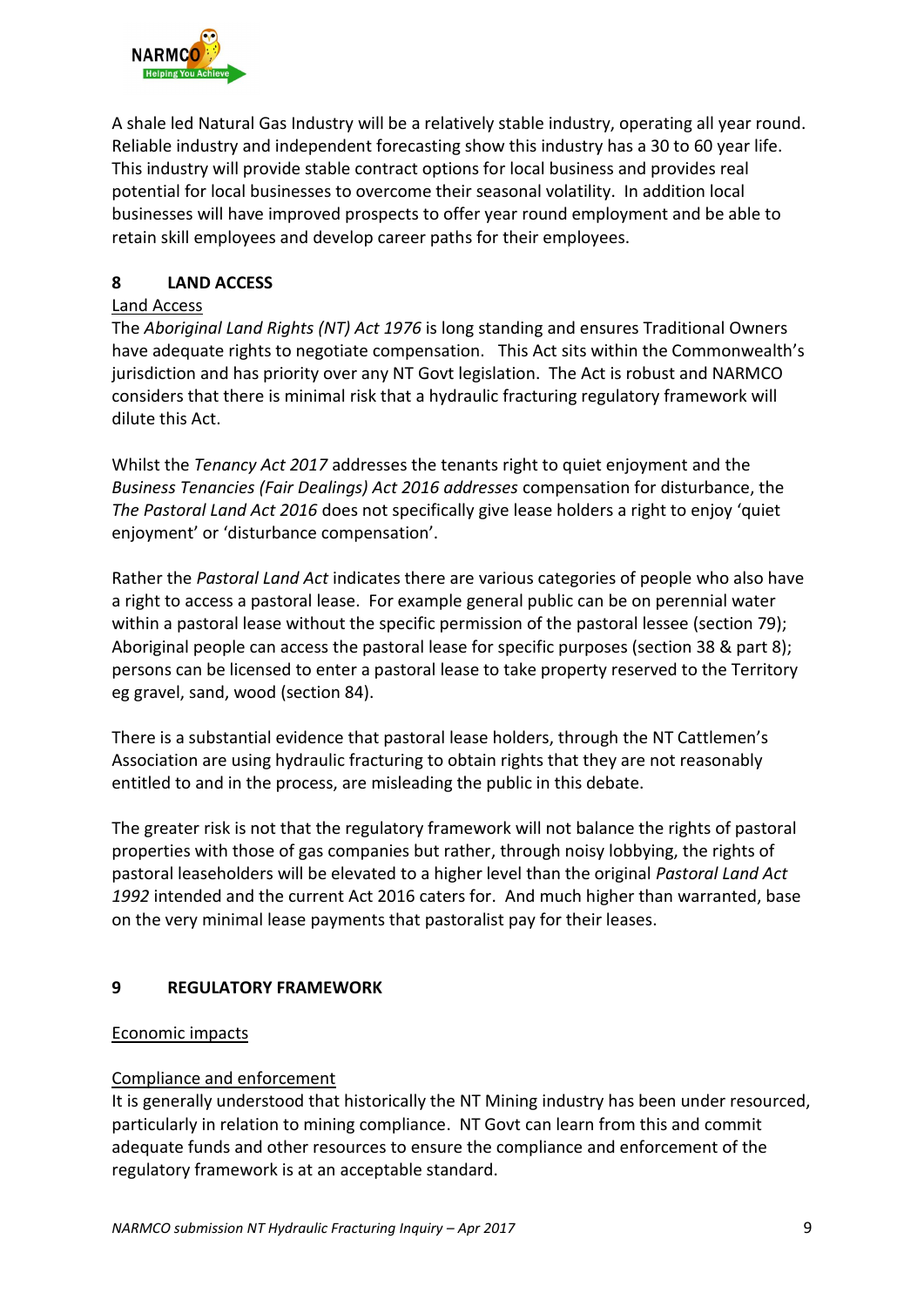

A shale led Natural Gas Industry will be a relatively stable industry, operating all year round. Reliable industry and independent forecasting show this industry has a 30 to 60 year life. This industry will provide stable contract options for local business and provides real potential for local businesses to overcome their seasonal volatility. In addition local businesses will have improved prospects to offer year round employment and be able to retain skill employees and develop career paths for their employees.

# **8 LAND ACCESS**

### Land Access

The *Aboriginal Land Rights (NT) Act 1976* is long standing and ensures Traditional Owners have adequate rights to negotiate compensation. This Act sits within the Commonwealth's jurisdiction and has priority over any NT Govt legislation. The Act is robust and NARMCO considers that there is minimal risk that a hydraulic fracturing regulatory framework will dilute this Act.

Whilst the *Tenancy Act 2017* addresses the tenants right to quiet enjoyment and the *Business Tenancies (Fair Dealings) Act 2016 addresses* compensation for disturbance, the *The Pastoral Land Act 2016* does not specifically give lease holders a right to enjoy 'quiet enjoyment' or 'disturbance compensation'.

Rather the *Pastoral Land Act* indicates there are various categories of people who also have a right to access a pastoral lease. For example general public can be on perennial water within a pastoral lease without the specific permission of the pastoral lessee (section 79); Aboriginal people can access the pastoral lease for specific purposes (section 38 & part 8); persons can be licensed to enter a pastoral lease to take property reserved to the Territory eg gravel, sand, wood (section 84).

There is a substantial evidence that pastoral lease holders, through the NT Cattlemen's Association are using hydraulic fracturing to obtain rights that they are not reasonably entitled to and in the process, are misleading the public in this debate.

The greater risk is not that the regulatory framework will not balance the rights of pastoral properties with those of gas companies but rather, through noisy lobbying, the rights of pastoral leaseholders will be elevated to a higher level than the original *Pastoral Land Act 1992* intended and the current Act 2016 caters for. And much higher than warranted, base on the very minimal lease payments that pastoralist pay for their leases.

# **9 REGULATORY FRAMEWORK**

# Economic impacts

# Compliance and enforcement

It is generally understood that historically the NT Mining industry has been under resourced, particularly in relation to mining compliance. NT Govt can learn from this and commit adequate funds and other resources to ensure the compliance and enforcement of the regulatory framework is at an acceptable standard.